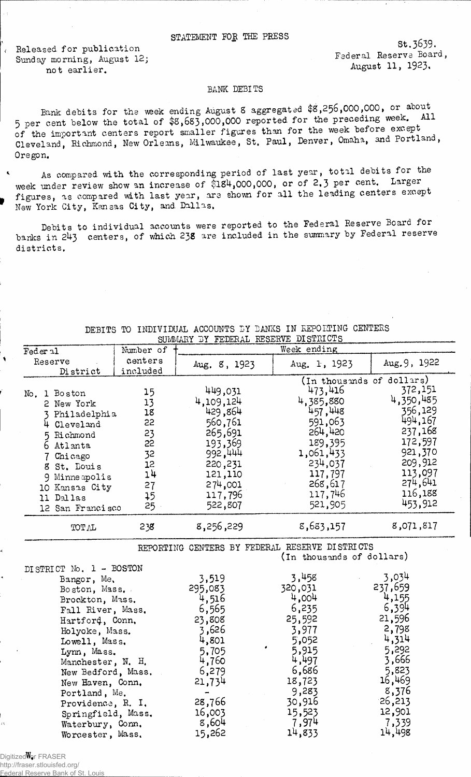## STATEMENT FOR THE PRESS

Released for publication Sunday morning, August 12; not earlier.

St.3639. Federal Reserve Board., August 11, 1923.

## BANK DEBITS

Bank debits for the week ending August 8 aggregated \$8,256,000,000, or about 5 per cent below the total of  $$3,683,000,000$  reported for the preceding week. All of the important centers report smaller figures than for the week before except Cleveland, Richmond, New Orleans, Milwaukee, St. Paul, Denver, Omaha, and Portland, Oregon.

As compared with the corresponding period of last year, total debits for the week under review show an increase of  $\tilde{\$18}4,000,000$ , or of 2.3 per cent. Larger figures, as compared with last year, are shown for all the leading centers except New York City, Kansas City, and Dallas,

Debits to individual accounts were reported to the Federal Reserve Board for banks in 2U3 centers, of which 23s are included in the summary by Federal reserve districts.

|                                                                                                                                                                                                                                                                                                                                         |                | SOMMARII DI FEDERAL RESERVE DISINIOIS                                                                                                      |                                                                                                                                                     |                                                                                                                                                     |
|-----------------------------------------------------------------------------------------------------------------------------------------------------------------------------------------------------------------------------------------------------------------------------------------------------------------------------------------|----------------|--------------------------------------------------------------------------------------------------------------------------------------------|-----------------------------------------------------------------------------------------------------------------------------------------------------|-----------------------------------------------------------------------------------------------------------------------------------------------------|
| Feder 21                                                                                                                                                                                                                                                                                                                                | Number of      |                                                                                                                                            | Week ending                                                                                                                                         |                                                                                                                                                     |
| Reserve                                                                                                                                                                                                                                                                                                                                 | centers        | Aug. 8, 1923                                                                                                                               | Aug. 1, 1923                                                                                                                                        | Aug. 9, 1922                                                                                                                                        |
| District                                                                                                                                                                                                                                                                                                                                | included       |                                                                                                                                            |                                                                                                                                                     |                                                                                                                                                     |
| No. 1 Boston<br>2 New York<br>3 Philadelphia                                                                                                                                                                                                                                                                                            | 15<br>13<br>18 | 449,031<br>4,109,124<br>429,864                                                                                                            | (In thousands of dollars)<br>473,416<br>4,385,880<br>457,448                                                                                        | 372,151<br>4,350,485<br>356,129                                                                                                                     |
| 4 Cleveland                                                                                                                                                                                                                                                                                                                             | 55             | 560,761                                                                                                                                    | 591,063                                                                                                                                             | 494,167                                                                                                                                             |
| 5 Richmond                                                                                                                                                                                                                                                                                                                              | 23             | 265,691                                                                                                                                    | 264,420                                                                                                                                             | 237,168                                                                                                                                             |
| 6 Atlanta                                                                                                                                                                                                                                                                                                                               | 22             | 193,369                                                                                                                                    | 189,395                                                                                                                                             | 172,597                                                                                                                                             |
| 7 Chicago                                                                                                                                                                                                                                                                                                                               | 32             | 992,444                                                                                                                                    | 1,061,433                                                                                                                                           | 921,370                                                                                                                                             |
| 8 St. Louis                                                                                                                                                                                                                                                                                                                             | 12             | 220,231                                                                                                                                    | 234,037                                                                                                                                             | 209,912                                                                                                                                             |
| 9 Minneapolis                                                                                                                                                                                                                                                                                                                           | 14             | 121,110                                                                                                                                    | 117,797                                                                                                                                             | 113,097                                                                                                                                             |
| 10 Kansas City                                                                                                                                                                                                                                                                                                                          | 27             | 274,001                                                                                                                                    | 268, 617                                                                                                                                            | 274,641                                                                                                                                             |
| 11 Dallas                                                                                                                                                                                                                                                                                                                               | 45             | 117,796                                                                                                                                    | 117,746                                                                                                                                             | 116,188                                                                                                                                             |
| 12 San Francisco                                                                                                                                                                                                                                                                                                                        | 25             | 522,807                                                                                                                                    | 521,905                                                                                                                                             | 453,912                                                                                                                                             |
|                                                                                                                                                                                                                                                                                                                                         |                |                                                                                                                                            |                                                                                                                                                     |                                                                                                                                                     |
| TOTAL                                                                                                                                                                                                                                                                                                                                   | 238            | 8,256,229                                                                                                                                  | 8,683,157                                                                                                                                           | 8,071,817                                                                                                                                           |
| REPORTING CENTERS BY FEDERAL RESERVE DISTRICTS<br>(In thousands of dollars)                                                                                                                                                                                                                                                             |                |                                                                                                                                            |                                                                                                                                                     |                                                                                                                                                     |
| DISTRICT No. 1 - BOSTON<br>Bangor, Me.<br>Boston, Mass.<br>Brockton, Mass.<br>Fall River, Mass.<br>Hartford, Conn,<br>Holyoke, Mass.<br>Lowell, Mass.<br>Lynn, Mass.<br>Manchester, N. H.<br>New Bedford, Mass.<br>New Haven, Conn.<br>Portland, Me.<br>Providence, R. I.<br>Springfield, Mass.<br>Waterbury, Conn.<br>Worcester, Mass. |                | 3,519<br>295,083<br>4,516<br>6,565<br>23,808<br>3,626<br>4,801<br>5,705<br>4,760<br>6,279<br>21,734<br>28,766<br>16,003<br>8,604<br>15,262 | 3,458<br>320,031<br>4,004<br>6,235<br>25,592<br>3,977<br>5,052<br>5,915<br>4,497<br>6,686<br>18,723<br>9,283<br>30,916<br>15,523<br>7,974<br>14,833 | 3,034<br>237,659<br>4,155<br>6,394<br>21,596<br>2,798<br>4,314<br>5,292<br>3,666<br>5,823<br>16,469<br>8,376<br>26,213<br>12,901<br>7,339<br>14,498 |

DEBITS TO INDIVIDUAL ACCOUNTS BY BANKS IN REPORTING CENTERS SUMMARY BY FEDERAL RESERVED DISTRICTS

Digitized for FRASER

http://fraser.stlouisfed.org/ Federal Reserve Bank of St. Louis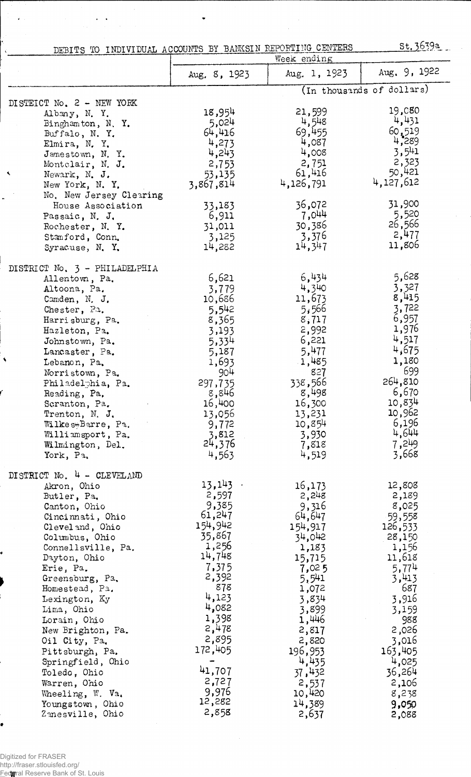DEBITS TO INDIVIDUAL ACCOUNTS BY BANKSIN REPORTING CENTERS St. 3639a

 $\bullet$ 

 $\mathcal{A}$ 

 $\frac{1}{2}$ 

| Aug. 1, 1923<br>Aug. 8, 1923<br>(In thousands of dollars)<br>DISTEICT No. 2 - NEW YORK<br>19,080<br>18,954<br>21,599<br>Albany, N.Y.<br>4,431<br>4,548<br>5,024<br>Binghamton, N.Y.<br>69,455<br>60,519<br>64,416<br>Buffalo, N.Y.<br>4,289<br>4,087<br>4,273<br>Elmira, N.Y.<br>3,541<br>4,008<br>4,243<br>Jamestown, N.Y.<br>2,323<br>2,751<br>2,753<br>Montelair, N. J.<br>50,421<br>61,416<br>53,135<br>Newark, N. J.<br>4,127,612<br>4,126,791<br>3,867,814<br>New York, N. Y.<br>No. New Jersey Clearing<br>31,900<br>36,072<br>33,183<br>House Association<br>5,520<br>7,044<br>6,911<br>Passaic, N. J.<br>26,566<br>30,386<br>31,011<br>Rochester, N.Y.<br>2,477<br>3,376<br>3,125<br>Stanford, Conn.<br>11,806<br>14,347<br>14,282<br>Syracuse, N.Y.<br>DISTRICT No. 3 - PHILADELPHIA<br>5,628<br>6,434<br>6,621<br>Allentown, Pa.<br>3,327<br>4,340<br>3,779<br>Altoona, Pa.<br>8,415<br>11,673<br>10,686<br>Camden, N. J.<br>3,722<br>5,542<br>5,566<br>Chester, Pa.<br>6,957<br>8,365<br>8,717<br>Harrisburg, Pa.<br>1,976<br>2,992<br>3,193<br>Hazleton, Pa.<br>4,517<br>6,221<br>5,334<br>Johnstown, Pa.<br>4,675<br>5,477<br>5,187<br>Lancaster, Pa.<br>1,180<br>1,693<br>1,485<br>Lebanon, Pa.<br>699<br>904<br>827<br>Norristown, Pa.<br>264,810<br>338,566<br>297,735<br>Philadelphia, Pa.<br>6,670<br>8,498<br>Reading, Pa,<br>8,846<br>10,834<br>16,400<br>16,300<br>Scranton, Pa.<br>10,962<br>13,056<br>13,231<br>Trenton, N. J.<br>6,196<br>10,854<br>Wilkes+Barre, Pa.<br>9,772<br>4,644<br>Williamsport, Pa.<br>3,812<br>3,930<br>24,376<br>7,249<br>7,818<br>Wilmington, Del.<br>3,668<br>4,563<br>4,519<br>York, Pa,<br>DISTRICT No. 4 - CLEVELAND<br>13,143<br>12,808<br>16,173<br>Akron, Ohio<br>2,597<br>2,248<br>2,189<br>Butler, Pa.<br>9,385<br>8,025<br>9,316<br>Canton, Ohio<br>61,247<br>64,647<br>59,558<br>Cincinnati, Ohio<br>154,942<br>154,917<br>126,533<br>Cleveland, Ohio<br>35,867<br>34,042<br>28,150<br>Columbus, Ohio<br>1,256<br>Connellsville, Pa.<br>1,156<br>1,183<br>14,748<br>11,618<br>Dayton, Ohio<br>15,715<br>7,375<br>5,774<br>Erie, Pa.<br>7,025<br>2,392<br>5,541<br>3,413<br>Greensburg, Pa.<br>878<br>687<br>Homestead, Pa.<br>1,072<br>4,123<br>3,916<br>Lexington, Ky<br>3,834<br>4,082<br>3,899<br>3,159<br>Lima, Ohio<br>1,398<br>1,446<br>988<br>Lorain, Ohio<br>2,478<br>2,026<br>2,817<br>New Brighton, Pa.<br>2,895<br>2,820<br>3,016<br>Oil City, Pa.<br>172,405<br>163,405<br>196,953<br>Pittsburgh, Pa.<br>4,435<br>4,025<br>Springfield, Ohio<br>41,707<br>37,432<br>36,264<br>Toledo, Ohio<br>2,727<br>2,537<br>2,106<br>Warren, Ohio<br>9,976<br>10,420<br>8,238<br>Wheeling, W. Va.<br>12,282<br>14,389<br>9,050<br>Youngstown, Ohio<br>2,858 |   | DEBITS TO INDIVIDUAL ACCOUNTS BY BANKSIN REPORTING CENTERS | Week ending |              |
|-----------------------------------------------------------------------------------------------------------------------------------------------------------------------------------------------------------------------------------------------------------------------------------------------------------------------------------------------------------------------------------------------------------------------------------------------------------------------------------------------------------------------------------------------------------------------------------------------------------------------------------------------------------------------------------------------------------------------------------------------------------------------------------------------------------------------------------------------------------------------------------------------------------------------------------------------------------------------------------------------------------------------------------------------------------------------------------------------------------------------------------------------------------------------------------------------------------------------------------------------------------------------------------------------------------------------------------------------------------------------------------------------------------------------------------------------------------------------------------------------------------------------------------------------------------------------------------------------------------------------------------------------------------------------------------------------------------------------------------------------------------------------------------------------------------------------------------------------------------------------------------------------------------------------------------------------------------------------------------------------------------------------------------------------------------------------------------------------------------------------------------------------------------------------------------------------------------------------------------------------------------------------------------------------------------------------------------------------------------------------------------------------------------------------------------------------------------------------------------------------------------------------------------------------------------------------------------------------------------------------------------------------------------------------------------------------------------------------------|---|------------------------------------------------------------|-------------|--------------|
|                                                                                                                                                                                                                                                                                                                                                                                                                                                                                                                                                                                                                                                                                                                                                                                                                                                                                                                                                                                                                                                                                                                                                                                                                                                                                                                                                                                                                                                                                                                                                                                                                                                                                                                                                                                                                                                                                                                                                                                                                                                                                                                                                                                                                                                                                                                                                                                                                                                                                                                                                                                                                                                                                                                             |   |                                                            |             | Aug. 9, 1922 |
|                                                                                                                                                                                                                                                                                                                                                                                                                                                                                                                                                                                                                                                                                                                                                                                                                                                                                                                                                                                                                                                                                                                                                                                                                                                                                                                                                                                                                                                                                                                                                                                                                                                                                                                                                                                                                                                                                                                                                                                                                                                                                                                                                                                                                                                                                                                                                                                                                                                                                                                                                                                                                                                                                                                             |   |                                                            |             |              |
|                                                                                                                                                                                                                                                                                                                                                                                                                                                                                                                                                                                                                                                                                                                                                                                                                                                                                                                                                                                                                                                                                                                                                                                                                                                                                                                                                                                                                                                                                                                                                                                                                                                                                                                                                                                                                                                                                                                                                                                                                                                                                                                                                                                                                                                                                                                                                                                                                                                                                                                                                                                                                                                                                                                             |   |                                                            |             |              |
|                                                                                                                                                                                                                                                                                                                                                                                                                                                                                                                                                                                                                                                                                                                                                                                                                                                                                                                                                                                                                                                                                                                                                                                                                                                                                                                                                                                                                                                                                                                                                                                                                                                                                                                                                                                                                                                                                                                                                                                                                                                                                                                                                                                                                                                                                                                                                                                                                                                                                                                                                                                                                                                                                                                             |   |                                                            |             |              |
|                                                                                                                                                                                                                                                                                                                                                                                                                                                                                                                                                                                                                                                                                                                                                                                                                                                                                                                                                                                                                                                                                                                                                                                                                                                                                                                                                                                                                                                                                                                                                                                                                                                                                                                                                                                                                                                                                                                                                                                                                                                                                                                                                                                                                                                                                                                                                                                                                                                                                                                                                                                                                                                                                                                             |   |                                                            |             |              |
|                                                                                                                                                                                                                                                                                                                                                                                                                                                                                                                                                                                                                                                                                                                                                                                                                                                                                                                                                                                                                                                                                                                                                                                                                                                                                                                                                                                                                                                                                                                                                                                                                                                                                                                                                                                                                                                                                                                                                                                                                                                                                                                                                                                                                                                                                                                                                                                                                                                                                                                                                                                                                                                                                                                             |   |                                                            |             |              |
|                                                                                                                                                                                                                                                                                                                                                                                                                                                                                                                                                                                                                                                                                                                                                                                                                                                                                                                                                                                                                                                                                                                                                                                                                                                                                                                                                                                                                                                                                                                                                                                                                                                                                                                                                                                                                                                                                                                                                                                                                                                                                                                                                                                                                                                                                                                                                                                                                                                                                                                                                                                                                                                                                                                             |   |                                                            |             |              |
|                                                                                                                                                                                                                                                                                                                                                                                                                                                                                                                                                                                                                                                                                                                                                                                                                                                                                                                                                                                                                                                                                                                                                                                                                                                                                                                                                                                                                                                                                                                                                                                                                                                                                                                                                                                                                                                                                                                                                                                                                                                                                                                                                                                                                                                                                                                                                                                                                                                                                                                                                                                                                                                                                                                             |   |                                                            |             |              |
|                                                                                                                                                                                                                                                                                                                                                                                                                                                                                                                                                                                                                                                                                                                                                                                                                                                                                                                                                                                                                                                                                                                                                                                                                                                                                                                                                                                                                                                                                                                                                                                                                                                                                                                                                                                                                                                                                                                                                                                                                                                                                                                                                                                                                                                                                                                                                                                                                                                                                                                                                                                                                                                                                                                             | ٩ |                                                            |             |              |
|                                                                                                                                                                                                                                                                                                                                                                                                                                                                                                                                                                                                                                                                                                                                                                                                                                                                                                                                                                                                                                                                                                                                                                                                                                                                                                                                                                                                                                                                                                                                                                                                                                                                                                                                                                                                                                                                                                                                                                                                                                                                                                                                                                                                                                                                                                                                                                                                                                                                                                                                                                                                                                                                                                                             |   |                                                            |             |              |
|                                                                                                                                                                                                                                                                                                                                                                                                                                                                                                                                                                                                                                                                                                                                                                                                                                                                                                                                                                                                                                                                                                                                                                                                                                                                                                                                                                                                                                                                                                                                                                                                                                                                                                                                                                                                                                                                                                                                                                                                                                                                                                                                                                                                                                                                                                                                                                                                                                                                                                                                                                                                                                                                                                                             |   |                                                            |             |              |
|                                                                                                                                                                                                                                                                                                                                                                                                                                                                                                                                                                                                                                                                                                                                                                                                                                                                                                                                                                                                                                                                                                                                                                                                                                                                                                                                                                                                                                                                                                                                                                                                                                                                                                                                                                                                                                                                                                                                                                                                                                                                                                                                                                                                                                                                                                                                                                                                                                                                                                                                                                                                                                                                                                                             |   |                                                            |             |              |
|                                                                                                                                                                                                                                                                                                                                                                                                                                                                                                                                                                                                                                                                                                                                                                                                                                                                                                                                                                                                                                                                                                                                                                                                                                                                                                                                                                                                                                                                                                                                                                                                                                                                                                                                                                                                                                                                                                                                                                                                                                                                                                                                                                                                                                                                                                                                                                                                                                                                                                                                                                                                                                                                                                                             |   |                                                            |             |              |
|                                                                                                                                                                                                                                                                                                                                                                                                                                                                                                                                                                                                                                                                                                                                                                                                                                                                                                                                                                                                                                                                                                                                                                                                                                                                                                                                                                                                                                                                                                                                                                                                                                                                                                                                                                                                                                                                                                                                                                                                                                                                                                                                                                                                                                                                                                                                                                                                                                                                                                                                                                                                                                                                                                                             |   |                                                            |             |              |
|                                                                                                                                                                                                                                                                                                                                                                                                                                                                                                                                                                                                                                                                                                                                                                                                                                                                                                                                                                                                                                                                                                                                                                                                                                                                                                                                                                                                                                                                                                                                                                                                                                                                                                                                                                                                                                                                                                                                                                                                                                                                                                                                                                                                                                                                                                                                                                                                                                                                                                                                                                                                                                                                                                                             |   |                                                            |             |              |
|                                                                                                                                                                                                                                                                                                                                                                                                                                                                                                                                                                                                                                                                                                                                                                                                                                                                                                                                                                                                                                                                                                                                                                                                                                                                                                                                                                                                                                                                                                                                                                                                                                                                                                                                                                                                                                                                                                                                                                                                                                                                                                                                                                                                                                                                                                                                                                                                                                                                                                                                                                                                                                                                                                                             |   |                                                            |             |              |
|                                                                                                                                                                                                                                                                                                                                                                                                                                                                                                                                                                                                                                                                                                                                                                                                                                                                                                                                                                                                                                                                                                                                                                                                                                                                                                                                                                                                                                                                                                                                                                                                                                                                                                                                                                                                                                                                                                                                                                                                                                                                                                                                                                                                                                                                                                                                                                                                                                                                                                                                                                                                                                                                                                                             |   |                                                            |             |              |
|                                                                                                                                                                                                                                                                                                                                                                                                                                                                                                                                                                                                                                                                                                                                                                                                                                                                                                                                                                                                                                                                                                                                                                                                                                                                                                                                                                                                                                                                                                                                                                                                                                                                                                                                                                                                                                                                                                                                                                                                                                                                                                                                                                                                                                                                                                                                                                                                                                                                                                                                                                                                                                                                                                                             |   |                                                            |             |              |
|                                                                                                                                                                                                                                                                                                                                                                                                                                                                                                                                                                                                                                                                                                                                                                                                                                                                                                                                                                                                                                                                                                                                                                                                                                                                                                                                                                                                                                                                                                                                                                                                                                                                                                                                                                                                                                                                                                                                                                                                                                                                                                                                                                                                                                                                                                                                                                                                                                                                                                                                                                                                                                                                                                                             |   |                                                            |             |              |
|                                                                                                                                                                                                                                                                                                                                                                                                                                                                                                                                                                                                                                                                                                                                                                                                                                                                                                                                                                                                                                                                                                                                                                                                                                                                                                                                                                                                                                                                                                                                                                                                                                                                                                                                                                                                                                                                                                                                                                                                                                                                                                                                                                                                                                                                                                                                                                                                                                                                                                                                                                                                                                                                                                                             |   |                                                            |             |              |
|                                                                                                                                                                                                                                                                                                                                                                                                                                                                                                                                                                                                                                                                                                                                                                                                                                                                                                                                                                                                                                                                                                                                                                                                                                                                                                                                                                                                                                                                                                                                                                                                                                                                                                                                                                                                                                                                                                                                                                                                                                                                                                                                                                                                                                                                                                                                                                                                                                                                                                                                                                                                                                                                                                                             |   |                                                            |             |              |
|                                                                                                                                                                                                                                                                                                                                                                                                                                                                                                                                                                                                                                                                                                                                                                                                                                                                                                                                                                                                                                                                                                                                                                                                                                                                                                                                                                                                                                                                                                                                                                                                                                                                                                                                                                                                                                                                                                                                                                                                                                                                                                                                                                                                                                                                                                                                                                                                                                                                                                                                                                                                                                                                                                                             |   |                                                            |             |              |
|                                                                                                                                                                                                                                                                                                                                                                                                                                                                                                                                                                                                                                                                                                                                                                                                                                                                                                                                                                                                                                                                                                                                                                                                                                                                                                                                                                                                                                                                                                                                                                                                                                                                                                                                                                                                                                                                                                                                                                                                                                                                                                                                                                                                                                                                                                                                                                                                                                                                                                                                                                                                                                                                                                                             |   |                                                            |             |              |
|                                                                                                                                                                                                                                                                                                                                                                                                                                                                                                                                                                                                                                                                                                                                                                                                                                                                                                                                                                                                                                                                                                                                                                                                                                                                                                                                                                                                                                                                                                                                                                                                                                                                                                                                                                                                                                                                                                                                                                                                                                                                                                                                                                                                                                                                                                                                                                                                                                                                                                                                                                                                                                                                                                                             |   |                                                            |             |              |
|                                                                                                                                                                                                                                                                                                                                                                                                                                                                                                                                                                                                                                                                                                                                                                                                                                                                                                                                                                                                                                                                                                                                                                                                                                                                                                                                                                                                                                                                                                                                                                                                                                                                                                                                                                                                                                                                                                                                                                                                                                                                                                                                                                                                                                                                                                                                                                                                                                                                                                                                                                                                                                                                                                                             |   |                                                            |             |              |
|                                                                                                                                                                                                                                                                                                                                                                                                                                                                                                                                                                                                                                                                                                                                                                                                                                                                                                                                                                                                                                                                                                                                                                                                                                                                                                                                                                                                                                                                                                                                                                                                                                                                                                                                                                                                                                                                                                                                                                                                                                                                                                                                                                                                                                                                                                                                                                                                                                                                                                                                                                                                                                                                                                                             | ۸ |                                                            |             |              |
|                                                                                                                                                                                                                                                                                                                                                                                                                                                                                                                                                                                                                                                                                                                                                                                                                                                                                                                                                                                                                                                                                                                                                                                                                                                                                                                                                                                                                                                                                                                                                                                                                                                                                                                                                                                                                                                                                                                                                                                                                                                                                                                                                                                                                                                                                                                                                                                                                                                                                                                                                                                                                                                                                                                             |   |                                                            |             |              |
|                                                                                                                                                                                                                                                                                                                                                                                                                                                                                                                                                                                                                                                                                                                                                                                                                                                                                                                                                                                                                                                                                                                                                                                                                                                                                                                                                                                                                                                                                                                                                                                                                                                                                                                                                                                                                                                                                                                                                                                                                                                                                                                                                                                                                                                                                                                                                                                                                                                                                                                                                                                                                                                                                                                             |   |                                                            |             |              |
|                                                                                                                                                                                                                                                                                                                                                                                                                                                                                                                                                                                                                                                                                                                                                                                                                                                                                                                                                                                                                                                                                                                                                                                                                                                                                                                                                                                                                                                                                                                                                                                                                                                                                                                                                                                                                                                                                                                                                                                                                                                                                                                                                                                                                                                                                                                                                                                                                                                                                                                                                                                                                                                                                                                             |   |                                                            |             |              |
|                                                                                                                                                                                                                                                                                                                                                                                                                                                                                                                                                                                                                                                                                                                                                                                                                                                                                                                                                                                                                                                                                                                                                                                                                                                                                                                                                                                                                                                                                                                                                                                                                                                                                                                                                                                                                                                                                                                                                                                                                                                                                                                                                                                                                                                                                                                                                                                                                                                                                                                                                                                                                                                                                                                             |   |                                                            |             |              |
|                                                                                                                                                                                                                                                                                                                                                                                                                                                                                                                                                                                                                                                                                                                                                                                                                                                                                                                                                                                                                                                                                                                                                                                                                                                                                                                                                                                                                                                                                                                                                                                                                                                                                                                                                                                                                                                                                                                                                                                                                                                                                                                                                                                                                                                                                                                                                                                                                                                                                                                                                                                                                                                                                                                             |   |                                                            |             |              |
|                                                                                                                                                                                                                                                                                                                                                                                                                                                                                                                                                                                                                                                                                                                                                                                                                                                                                                                                                                                                                                                                                                                                                                                                                                                                                                                                                                                                                                                                                                                                                                                                                                                                                                                                                                                                                                                                                                                                                                                                                                                                                                                                                                                                                                                                                                                                                                                                                                                                                                                                                                                                                                                                                                                             |   |                                                            |             |              |
|                                                                                                                                                                                                                                                                                                                                                                                                                                                                                                                                                                                                                                                                                                                                                                                                                                                                                                                                                                                                                                                                                                                                                                                                                                                                                                                                                                                                                                                                                                                                                                                                                                                                                                                                                                                                                                                                                                                                                                                                                                                                                                                                                                                                                                                                                                                                                                                                                                                                                                                                                                                                                                                                                                                             |   |                                                            |             |              |
|                                                                                                                                                                                                                                                                                                                                                                                                                                                                                                                                                                                                                                                                                                                                                                                                                                                                                                                                                                                                                                                                                                                                                                                                                                                                                                                                                                                                                                                                                                                                                                                                                                                                                                                                                                                                                                                                                                                                                                                                                                                                                                                                                                                                                                                                                                                                                                                                                                                                                                                                                                                                                                                                                                                             |   |                                                            |             |              |
|                                                                                                                                                                                                                                                                                                                                                                                                                                                                                                                                                                                                                                                                                                                                                                                                                                                                                                                                                                                                                                                                                                                                                                                                                                                                                                                                                                                                                                                                                                                                                                                                                                                                                                                                                                                                                                                                                                                                                                                                                                                                                                                                                                                                                                                                                                                                                                                                                                                                                                                                                                                                                                                                                                                             |   |                                                            |             |              |
|                                                                                                                                                                                                                                                                                                                                                                                                                                                                                                                                                                                                                                                                                                                                                                                                                                                                                                                                                                                                                                                                                                                                                                                                                                                                                                                                                                                                                                                                                                                                                                                                                                                                                                                                                                                                                                                                                                                                                                                                                                                                                                                                                                                                                                                                                                                                                                                                                                                                                                                                                                                                                                                                                                                             |   |                                                            |             |              |
|                                                                                                                                                                                                                                                                                                                                                                                                                                                                                                                                                                                                                                                                                                                                                                                                                                                                                                                                                                                                                                                                                                                                                                                                                                                                                                                                                                                                                                                                                                                                                                                                                                                                                                                                                                                                                                                                                                                                                                                                                                                                                                                                                                                                                                                                                                                                                                                                                                                                                                                                                                                                                                                                                                                             |   |                                                            |             |              |
|                                                                                                                                                                                                                                                                                                                                                                                                                                                                                                                                                                                                                                                                                                                                                                                                                                                                                                                                                                                                                                                                                                                                                                                                                                                                                                                                                                                                                                                                                                                                                                                                                                                                                                                                                                                                                                                                                                                                                                                                                                                                                                                                                                                                                                                                                                                                                                                                                                                                                                                                                                                                                                                                                                                             |   |                                                            |             |              |
|                                                                                                                                                                                                                                                                                                                                                                                                                                                                                                                                                                                                                                                                                                                                                                                                                                                                                                                                                                                                                                                                                                                                                                                                                                                                                                                                                                                                                                                                                                                                                                                                                                                                                                                                                                                                                                                                                                                                                                                                                                                                                                                                                                                                                                                                                                                                                                                                                                                                                                                                                                                                                                                                                                                             |   |                                                            |             |              |
|                                                                                                                                                                                                                                                                                                                                                                                                                                                                                                                                                                                                                                                                                                                                                                                                                                                                                                                                                                                                                                                                                                                                                                                                                                                                                                                                                                                                                                                                                                                                                                                                                                                                                                                                                                                                                                                                                                                                                                                                                                                                                                                                                                                                                                                                                                                                                                                                                                                                                                                                                                                                                                                                                                                             |   |                                                            |             |              |
|                                                                                                                                                                                                                                                                                                                                                                                                                                                                                                                                                                                                                                                                                                                                                                                                                                                                                                                                                                                                                                                                                                                                                                                                                                                                                                                                                                                                                                                                                                                                                                                                                                                                                                                                                                                                                                                                                                                                                                                                                                                                                                                                                                                                                                                                                                                                                                                                                                                                                                                                                                                                                                                                                                                             |   |                                                            |             |              |
|                                                                                                                                                                                                                                                                                                                                                                                                                                                                                                                                                                                                                                                                                                                                                                                                                                                                                                                                                                                                                                                                                                                                                                                                                                                                                                                                                                                                                                                                                                                                                                                                                                                                                                                                                                                                                                                                                                                                                                                                                                                                                                                                                                                                                                                                                                                                                                                                                                                                                                                                                                                                                                                                                                                             |   |                                                            |             |              |
|                                                                                                                                                                                                                                                                                                                                                                                                                                                                                                                                                                                                                                                                                                                                                                                                                                                                                                                                                                                                                                                                                                                                                                                                                                                                                                                                                                                                                                                                                                                                                                                                                                                                                                                                                                                                                                                                                                                                                                                                                                                                                                                                                                                                                                                                                                                                                                                                                                                                                                                                                                                                                                                                                                                             |   |                                                            |             |              |
|                                                                                                                                                                                                                                                                                                                                                                                                                                                                                                                                                                                                                                                                                                                                                                                                                                                                                                                                                                                                                                                                                                                                                                                                                                                                                                                                                                                                                                                                                                                                                                                                                                                                                                                                                                                                                                                                                                                                                                                                                                                                                                                                                                                                                                                                                                                                                                                                                                                                                                                                                                                                                                                                                                                             |   |                                                            |             |              |
|                                                                                                                                                                                                                                                                                                                                                                                                                                                                                                                                                                                                                                                                                                                                                                                                                                                                                                                                                                                                                                                                                                                                                                                                                                                                                                                                                                                                                                                                                                                                                                                                                                                                                                                                                                                                                                                                                                                                                                                                                                                                                                                                                                                                                                                                                                                                                                                                                                                                                                                                                                                                                                                                                                                             |   |                                                            |             |              |
|                                                                                                                                                                                                                                                                                                                                                                                                                                                                                                                                                                                                                                                                                                                                                                                                                                                                                                                                                                                                                                                                                                                                                                                                                                                                                                                                                                                                                                                                                                                                                                                                                                                                                                                                                                                                                                                                                                                                                                                                                                                                                                                                                                                                                                                                                                                                                                                                                                                                                                                                                                                                                                                                                                                             |   |                                                            |             |              |
|                                                                                                                                                                                                                                                                                                                                                                                                                                                                                                                                                                                                                                                                                                                                                                                                                                                                                                                                                                                                                                                                                                                                                                                                                                                                                                                                                                                                                                                                                                                                                                                                                                                                                                                                                                                                                                                                                                                                                                                                                                                                                                                                                                                                                                                                                                                                                                                                                                                                                                                                                                                                                                                                                                                             |   |                                                            |             |              |
|                                                                                                                                                                                                                                                                                                                                                                                                                                                                                                                                                                                                                                                                                                                                                                                                                                                                                                                                                                                                                                                                                                                                                                                                                                                                                                                                                                                                                                                                                                                                                                                                                                                                                                                                                                                                                                                                                                                                                                                                                                                                                                                                                                                                                                                                                                                                                                                                                                                                                                                                                                                                                                                                                                                             |   |                                                            |             |              |
|                                                                                                                                                                                                                                                                                                                                                                                                                                                                                                                                                                                                                                                                                                                                                                                                                                                                                                                                                                                                                                                                                                                                                                                                                                                                                                                                                                                                                                                                                                                                                                                                                                                                                                                                                                                                                                                                                                                                                                                                                                                                                                                                                                                                                                                                                                                                                                                                                                                                                                                                                                                                                                                                                                                             |   |                                                            |             |              |
|                                                                                                                                                                                                                                                                                                                                                                                                                                                                                                                                                                                                                                                                                                                                                                                                                                                                                                                                                                                                                                                                                                                                                                                                                                                                                                                                                                                                                                                                                                                                                                                                                                                                                                                                                                                                                                                                                                                                                                                                                                                                                                                                                                                                                                                                                                                                                                                                                                                                                                                                                                                                                                                                                                                             |   |                                                            |             |              |
|                                                                                                                                                                                                                                                                                                                                                                                                                                                                                                                                                                                                                                                                                                                                                                                                                                                                                                                                                                                                                                                                                                                                                                                                                                                                                                                                                                                                                                                                                                                                                                                                                                                                                                                                                                                                                                                                                                                                                                                                                                                                                                                                                                                                                                                                                                                                                                                                                                                                                                                                                                                                                                                                                                                             |   |                                                            |             |              |
|                                                                                                                                                                                                                                                                                                                                                                                                                                                                                                                                                                                                                                                                                                                                                                                                                                                                                                                                                                                                                                                                                                                                                                                                                                                                                                                                                                                                                                                                                                                                                                                                                                                                                                                                                                                                                                                                                                                                                                                                                                                                                                                                                                                                                                                                                                                                                                                                                                                                                                                                                                                                                                                                                                                             |   |                                                            |             |              |
|                                                                                                                                                                                                                                                                                                                                                                                                                                                                                                                                                                                                                                                                                                                                                                                                                                                                                                                                                                                                                                                                                                                                                                                                                                                                                                                                                                                                                                                                                                                                                                                                                                                                                                                                                                                                                                                                                                                                                                                                                                                                                                                                                                                                                                                                                                                                                                                                                                                                                                                                                                                                                                                                                                                             |   |                                                            |             |              |
|                                                                                                                                                                                                                                                                                                                                                                                                                                                                                                                                                                                                                                                                                                                                                                                                                                                                                                                                                                                                                                                                                                                                                                                                                                                                                                                                                                                                                                                                                                                                                                                                                                                                                                                                                                                                                                                                                                                                                                                                                                                                                                                                                                                                                                                                                                                                                                                                                                                                                                                                                                                                                                                                                                                             |   |                                                            |             |              |
|                                                                                                                                                                                                                                                                                                                                                                                                                                                                                                                                                                                                                                                                                                                                                                                                                                                                                                                                                                                                                                                                                                                                                                                                                                                                                                                                                                                                                                                                                                                                                                                                                                                                                                                                                                                                                                                                                                                                                                                                                                                                                                                                                                                                                                                                                                                                                                                                                                                                                                                                                                                                                                                                                                                             |   |                                                            |             |              |
|                                                                                                                                                                                                                                                                                                                                                                                                                                                                                                                                                                                                                                                                                                                                                                                                                                                                                                                                                                                                                                                                                                                                                                                                                                                                                                                                                                                                                                                                                                                                                                                                                                                                                                                                                                                                                                                                                                                                                                                                                                                                                                                                                                                                                                                                                                                                                                                                                                                                                                                                                                                                                                                                                                                             |   |                                                            |             |              |
|                                                                                                                                                                                                                                                                                                                                                                                                                                                                                                                                                                                                                                                                                                                                                                                                                                                                                                                                                                                                                                                                                                                                                                                                                                                                                                                                                                                                                                                                                                                                                                                                                                                                                                                                                                                                                                                                                                                                                                                                                                                                                                                                                                                                                                                                                                                                                                                                                                                                                                                                                                                                                                                                                                                             |   |                                                            |             |              |
|                                                                                                                                                                                                                                                                                                                                                                                                                                                                                                                                                                                                                                                                                                                                                                                                                                                                                                                                                                                                                                                                                                                                                                                                                                                                                                                                                                                                                                                                                                                                                                                                                                                                                                                                                                                                                                                                                                                                                                                                                                                                                                                                                                                                                                                                                                                                                                                                                                                                                                                                                                                                                                                                                                                             |   |                                                            |             |              |
|                                                                                                                                                                                                                                                                                                                                                                                                                                                                                                                                                                                                                                                                                                                                                                                                                                                                                                                                                                                                                                                                                                                                                                                                                                                                                                                                                                                                                                                                                                                                                                                                                                                                                                                                                                                                                                                                                                                                                                                                                                                                                                                                                                                                                                                                                                                                                                                                                                                                                                                                                                                                                                                                                                                             |   | Zanesville, Ohio                                           | 2,637       | 2,088        |

 $\bar{\mathcal{A}}$ 

ė

is.<br>Pi

 $\label{eq:2} \frac{1}{\sqrt{2\pi}}\sum_{i=1}^n\frac{1}{\sqrt{2\pi}}\int_{0}^1\frac{1}{\sqrt{2\pi}}\left(\frac{1}{\sqrt{2\pi}}\right)^2\frac{1}{\sqrt{2\pi}}\frac{1}{\sqrt{2\pi}}\frac{1}{\sqrt{2\pi}}\frac{1}{\sqrt{2\pi}}\frac{1}{\sqrt{2\pi}}\frac{1}{\sqrt{2\pi}}\frac{1}{\sqrt{2\pi}}\frac{1}{\sqrt{2\pi}}\frac{1}{\sqrt{2\pi}}\frac{1}{\sqrt{2\pi}}\frac{1}{\sqrt{2\pi}}\frac{1}{\sqrt{2\pi$ 

 $\frac{1}{2}$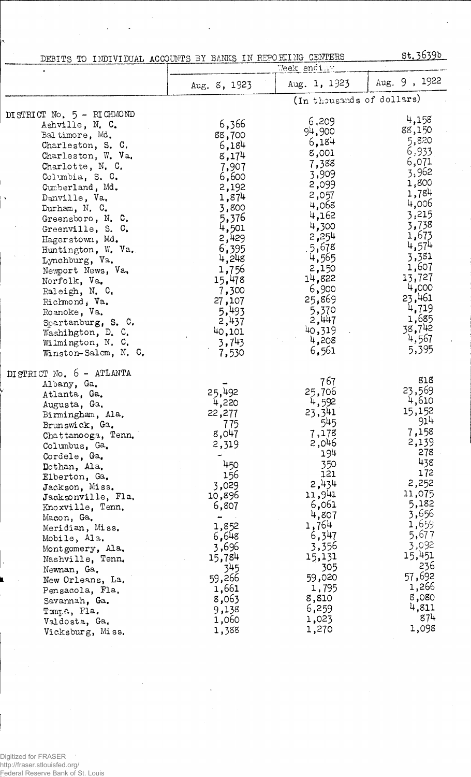|                           | <u>st. 3639b</u><br>DEBITS TO INDIVIDUAL ACCOUNTS BY BANKS IN REPORTING CENTERS |                           |               |
|---------------------------|---------------------------------------------------------------------------------|---------------------------|---------------|
|                           | Week ending                                                                     |                           |               |
|                           | Aug. 8, 1923                                                                    | Aug. 1, 1923              | Aug. 9, 1922  |
|                           |                                                                                 | (In thousands of dollars) |               |
| DISTRICT No. 5 - RICHMOND | 6,366                                                                           | 6,209                     | 4,158         |
| Ashville, N. C.           |                                                                                 | 94,900                    | 88,150        |
| Baltimore, Md.            | 88,700                                                                          | 6,184                     | 5,820         |
| Charleston, S. C.         | 6,184                                                                           | 8,001                     | 6,933         |
| Charleston, W. Va.        | 8,174                                                                           | 7,388                     | 6,071         |
| Charlotte, N. C.          | 7,907                                                                           | 3,909                     | 3,962         |
| Columbia, S. C.           | 6,600                                                                           | 2,099                     | 1,800         |
| Cumberland, Md.           | 2,192                                                                           |                           | 1,784         |
| Danville, Va.             | 1,874                                                                           | 2,057<br>4,068            | 4,006         |
| Durham, N. C.             | 3,800                                                                           | 4,162                     | 3,215         |
| Greensboro, N. C.         | 5,376                                                                           | 4,300                     | 3,738         |
| Greenville, S. C.         | 4,501                                                                           | 2,254                     | 1,673         |
| Hagerstown, Md.           | 2,429                                                                           |                           | 4,574         |
| Huntington, W. Va.        | 6,395                                                                           | .5,678                    | 3,381         |
| Lynchburg, Va.            | 4,248                                                                           | 4,565                     | 1,607         |
| Newport News, Va.         | 1,756                                                                           | 2,150                     | 13,727        |
| Norfolk, Va.              | 15,478                                                                          | 14,822                    | 4,000         |
| Raleigh, N. C.            | 7,300                                                                           | 6,900                     | 23,461        |
| Richmond, Va.             | 27,107                                                                          | 25,869                    | 4,719         |
| Roanoke, Va.              | 5,493                                                                           | 5,370                     | 1,685         |
| Spartanburg, S. C.        | 2,437                                                                           | 2,447                     | 38,742        |
| Washington, D. C.         | 40,101                                                                          | 40,319                    | 4,567         |
| Wilmington, N. C.         | 3,743                                                                           | 4,208                     | 5,395         |
| Winston-Salem, N. C.      | 7,530                                                                           | 6,561                     |               |
| DISTRICT No. 6 - ATLANTA  |                                                                                 |                           |               |
| Albany, Ga.               |                                                                                 | 767                       | 818           |
| Atlanta, Ga.              | 25,492                                                                          | 25,706                    | 23,569        |
| Augusta, Ga.              | 4,220                                                                           | 4,592                     | 4,610         |
| Birmingham, Ala.          | 22,277                                                                          | 23,341                    | 15,152<br>914 |
| Brunswick, Ga.            | 775                                                                             | 545                       |               |
| Chattanooga, Tenn.        | 8,047                                                                           | 7,178                     | 7,158         |
| Columbus, Ga.             | 2,319                                                                           | 2,046                     | 2,139<br>278  |
| Cordele, Ga.              |                                                                                 | 194                       | 438           |
| Dothan, Ala.              | 450                                                                             | 350<br>121                | 172           |
| Elberton, Ga.             | 156                                                                             | 2,434                     | 2,252         |
| Jackson, Miss.            | 3,029                                                                           | 11,941                    | 11,075        |
| Jacksonville, Fla.        | 10,896                                                                          | 6,061                     | 5,182         |
| Knoxville, Tenn.          | 6,807                                                                           | 4,807                     | 3,656         |
| Macon, Ga.                |                                                                                 | 1,764                     | 9d, 1         |
| Meridian, Miss.           | 1,852<br>6,648                                                                  | 6,347                     | 5,677         |
| Mobile, Ala.              |                                                                                 | 3,356                     | 3,092         |
| Montgomery, Ala.          | 3,696                                                                           | 15,131                    | 15,451        |
| Nashville, Tenn.          | 15,784                                                                          | 305                       | 236           |
| Newnan, Ga.               | 345                                                                             | 59,020                    | 57,692        |
| New Orleans, La.          | 59,266                                                                          |                           | 1,266         |
| Pensacola, Fla.           | 1,661                                                                           | 1,795                     | 8,080         |
| Savannah, Ga.             | 8,063                                                                           | 8,810                     | 4,811         |
| Tampa, Fla.               | 9,138                                                                           | 6,259<br>1,023            | 874           |
| Valdosta, Ga.             | 1,060                                                                           | 1,270                     | 1,098         |
| Vicksburg, Miss.          | 1,388                                                                           |                           |               |

 $\hat{\boldsymbol{\beta}}$ 

 $\ddot{\phantom{a}}$ 

 $\Delta \phi = \Delta \phi$ 

## Digitized for FRASER http://fraser.stlouisfed.org/

Federal Reserve Bank of St. Louis

 $\bar{ }$ 

 $\bar{\gamma}$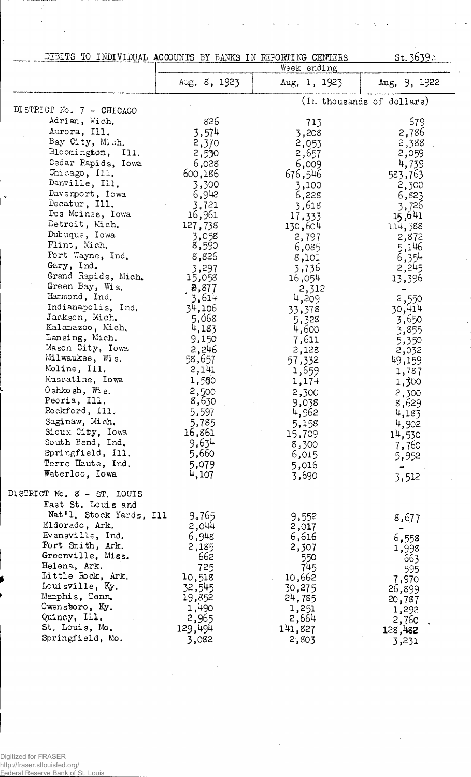| DEBITS TO INDIVIDUAL ACCOUNTS BY BANKS IN REPORTING CENTERS |                 |                | st.3639c                  |
|-------------------------------------------------------------|-----------------|----------------|---------------------------|
|                                                             |                 | Week ending    |                           |
|                                                             | Aug. 8, 1923    | Aug. 1, 1923   | Aug. 9, 1922              |
| DISTRICT No. 7 - CHICAGO                                    |                 |                | (In thousands of dollars) |
| Adrian, Mich.                                               | 826             |                | 679                       |
| Aurora, Ill.                                                |                 | 713            |                           |
| Bay City, Mich.                                             | 3,574           | 3,208          | 2,786                     |
| Bloomington, Ill.                                           | 2,370           | 2,053          | 2,388                     |
| Cedar Rapids, Iowa                                          | 2,530           | 2,657          | 2,059                     |
| Chicago, Ill.                                               | 6,028           | 6,009          | 4,739                     |
| Danville, Ill.                                              | 600,186         | 676,546        | 583,763                   |
| Davenport, Iowa                                             | 3,300           | 3,100          | 2,300                     |
| Decatur, Ill.                                               | 6,942           | 6,228          | 6,823                     |
| Des Moines, Iowa                                            | 3,721           | 3,618          | 3,726                     |
| Detroit, Mich.                                              | 16,961          | 17,333         | 15,641                    |
| Dubuque, Iowa                                               | 127,738         | 130,604        | 114,588                   |
| Flint, Mich.                                                | 3,058<br>8,590  | 2,797          | 2,872                     |
| Fort Wayne, Ind.                                            | 8,826           | 6,085          | 5,146                     |
| Gary, Ind.                                                  |                 | 8,101          | 6,354                     |
| Grand Rapids, Mich.                                         | 3,297<br>15,058 | 3,736          | 2,245                     |
| Green Bay, Wis.                                             | 2,877           | 16,054         | 13,396                    |
| Hammond, Ind.                                               | 5,614           | 2,312<br>4,209 | 2,550                     |
| Indianapolis, Ind.                                          | 34,106          | 33,378         | 30,414                    |
| Jackson, Mich.                                              | 5,068           | 5,328          | 3,650                     |
| Kalamazoo, Mich.                                            | 4,183           | 4,600          | 3,855                     |
| Lansing, Mich.                                              | 9,150           | 7,611          | 5,350                     |
| Mason City, Iowa                                            | 2,246           | 2,128          | 2,032                     |
| Milwaukee, Wis.                                             | 58,657          | 57,332         | 49,159                    |
| Moline, Ill.                                                | 2,141           | 1,659          | 1,787                     |
| Muscatine, Iowa                                             | 1,500           | 1,174          | 1,300                     |
| Oshkosh, Wis.                                               | 2,500           | 2,300          | 2,300                     |
| Peoria, Ill.                                                | 8,630           | 9,038          | 8,629                     |
| Rockford, Ill.                                              | 5,597           | 4,962          | 4,183                     |
| Saginaw, Mich.                                              | 5,785           | 5,158          | 4,902                     |
| Sioux City, Iowa                                            | 16,861          | 15,709         | 14,530                    |
| South Bend, Ind.                                            | 9,634           | 8,300          | 7,760                     |
| Springfield, Ill.                                           | 5,660           | 6,015          | 5,952                     |
| Terre Haute, Ind.                                           | 5,079           | 5,016          |                           |
| Waterloo, Iowa                                              | 4,107           | 3,690          | 3,512                     |
| DISTRICT No. 8 - ST. LOUIS                                  |                 |                |                           |
| East St. Louis and                                          |                 |                |                           |
| Nat'l. Stock Yards, Ill                                     | 9,765           | 9,552          | 8,677                     |
| Eldorado, Ark.                                              | 2,044           | 2,017          |                           |
| Evansville, Ind.                                            | 6,948           | 6,616          | 6,558                     |
| Fort Smith, Ark.                                            | 2,185           | 2,307          | 1,998                     |
| Greenville, Miss.                                           | 662             | 550            | 663                       |
| Helena, Ark.                                                | 725             | 745            | 595                       |
| Little Rock, Ark.                                           | 10,518          | 10,662         | 7,970                     |
| Louisville, Ky.                                             | 32,545          | 30,275         | 26,899                    |
| Memphis, Tenn.                                              | 19,852          | 24,785         | 20,787                    |
| Owenstoro, Ky.                                              | 1,490           | 1,251          | 1,292                     |
| Quincy, Ill.                                                | 2,965           | 2,664          | 2,760                     |
| St. Louis, Mo.                                              | 129,494         | 141,827        | 128,482                   |
| Springfield, Mo.                                            | 3,082           | 2,803          | 3,231                     |

 $\bar{\beta}$ 

 $\bar{\bar{z}}$ 

 $\hat{\boldsymbol{\beta}}$ 

Digitized for FRASER http://fraser.stlouisfed.org/ Federal Reserve Bank of St. Louis

J.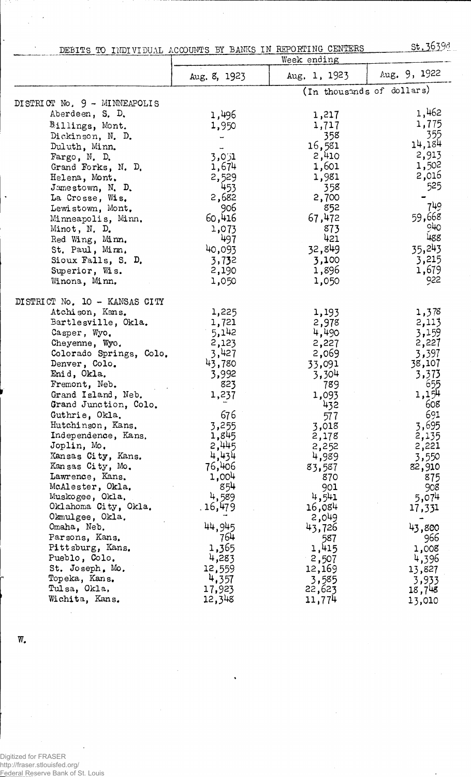DEBITS TO INDIVIDUAL ACCOUNTS BY BANKS IN REPORTING CENTERS, St. 3639d

|                               | Week ending       |              |                           |
|-------------------------------|-------------------|--------------|---------------------------|
|                               | Aug. 8, 1923      | Aug. 1, 1923 | Aug. 9, 1922              |
|                               |                   |              | (In thousands of dollars) |
| DISTRICT No. 9 - MINNEAPOLIS  |                   |              |                           |
| Aberdeen, S. D.               | 1,496             | 1,217        | 1,462                     |
| Billings, Mont.               | 1,950             | 1,717        | 1,775                     |
| Dickinson, N. D.              |                   | 358          | 355                       |
| Duluth, Minn.                 |                   | 16,581       | 14,184                    |
| Fargo, N. D.                  | 3,001             | 2,410        | 2,913                     |
| Grand Forks, N. D.            | 1,674             | 1,601        | 1,502                     |
| Helena, Mont.                 | 2,529             | 1,981        | 2,016                     |
| Jamestown, N. D.              | 453               | 358          | 525                       |
| La Crosse, Wis.               | 2,682             | 2,700        |                           |
| Lewistown, Mont.              | 906               | 852          | 749                       |
| Minneapolis, Minn.            | 60,416            | 67,472       | 59,668                    |
| Minot, N. D.                  | 1,073             | 873          | $\circ \pi$               |
| Red Wing, Minn.               | 497               | 421          | 488                       |
| St. Paul, Minn.               | 40,093            | 32,849       | 35,243                    |
| Sioux Falls, S. D.            | 3,732             | 3,100        | 3,215                     |
| Superior, Wis.                | 2,190             | 1,896        | 1,679                     |
| Winona, Minn.                 | 1,050             | 1,050        | 922                       |
| DISTRICT No. 10 - KANSAS CITY |                   |              |                           |
| Atchison, Kans.               | 1,225             | 1,193        | 1,378                     |
| Bartlesville, Okla.           | 1,721             | 2,978        | 2,113                     |
| Casper, Wyo.                  | 5,142             | 4,490        | 3,159                     |
| Cheyenne, Wyo.                | 2,123             | 2,227        | 2,227                     |
| Colorado Springs, Colo.       | 3,427             | 2,069        | 3,397                     |
| Denver, Colo.                 | 43,780            | 33,091       | 38,107                    |
| Enid, Okla.                   | 3,992             | 3,304        | 3,373                     |
| Fremont, Neb.                 | 823               | 789          | 655                       |
| Grand Island, Neb.            | 1,237             | 1,093        | 1,154                     |
| Grand Junction, Colo.         |                   | 432          | 608                       |
| Guthrie, Okla.                | 676               | 577          | 691                       |
| Hutchinson, Kans.             | 3,255             | 3,018        | 3,695                     |
| Independence, Kans.           | 1,845             | 2,178        | 2,135                     |
| Joplin, Mo.                   | 2,445             | 2,252        | 2,221                     |
| Kansas City, Kans.            | 4,434             | 4,989        | 3,550                     |
| Kansas City, Mo.              | 76,406            | 83,587       | 82,910                    |
| Lawrence, Kans.               | 1,004             | 870          | 875                       |
| McAlester, Okla.              | 854               | 901          | 908                       |
| Muskogee, Okla.               | 4,589             | 4,541        | 5,074                     |
| Oklahoma City, Okla.          | . 16 <b>,</b> 479 | 16,084       | 17,331                    |
| Okmulgee, Okla.               |                   | 2,049        |                           |
| Omaha, Neb.                   | 44,945            | 43,726       | 43,800                    |
| Parsons, Kans,                | 764               | 587          | 966                       |
| Pittsburg, Kans.              | 1,365             | 1,415        | 1,008                     |
| Pueblo, Colo.                 | 4,283             | 2,507        | 4,396                     |
| St. Joseph, Mo.               | 12,559            | 12,169       | 13,827                    |
| Topeka, Kans.                 | 4,357             | 3,585        | 3,933                     |
| Tulsa, Okla,                  | 17,923            | 22,623       | 18,748                    |
| Wichita, Kans.                | 12,348            | 11,774       | 13,010                    |

w.

 $\bar{\mathbf{r}}$  $\ddot{\phantom{a}}$ 

 $\ddot{\phantom{a}}$ 

Digitized for FRASER http://fraser.stlouisfed.org/ Federal Reserve Bank of St. Louis